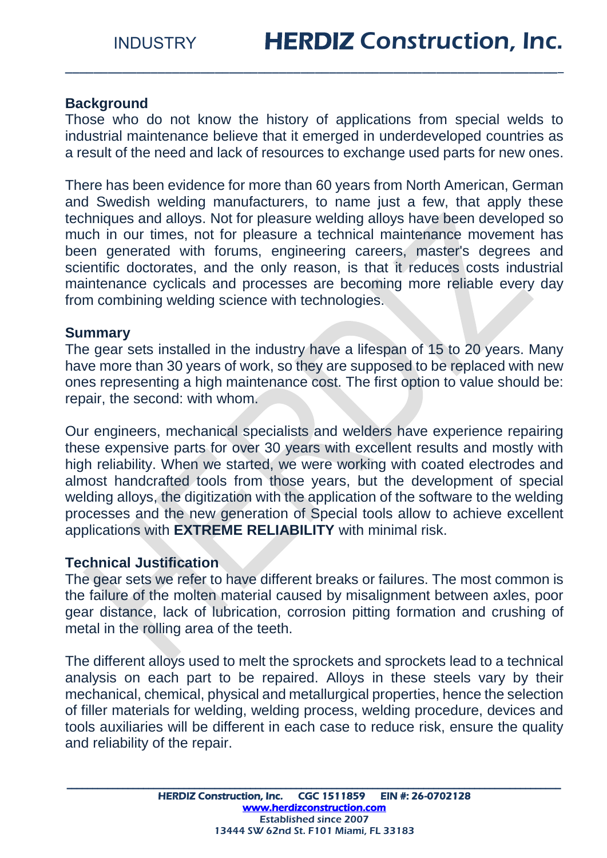## **Background**

Those who do not know the history of applications from special welds to industrial maintenance believe that it emerged in underdeveloped countries as a result of the need and lack of resources to exchange used parts for new ones.

\_\_\_\_\_\_\_\_\_\_\_\_\_\_\_\_\_\_\_\_\_\_\_\_\_\_\_\_\_\_\_\_\_\_\_\_\_\_\_\_\_\_\_\_\_\_\_\_\_\_\_\_\_\_\_\_\_\_\_\_\_\_\_\_\_\_\_\_\_\_

There has been evidence for more than 60 years from North American, German and Swedish welding manufacturers, to name just a few, that apply these techniques and alloys. Not for pleasure welding alloys have been developed so much in our times, not for pleasure a technical maintenance movement has been generated with forums, engineering careers, master's degrees and scientific doctorates, and the only reason, is that it reduces costs industrial maintenance cyclicals and processes are becoming more reliable every day from combining welding science with technologies.

#### **Summary**

The gear sets installed in the industry have a lifespan of 15 to 20 years. Many have more than 30 years of work, so they are supposed to be replaced with new ones representing a high maintenance cost. The first option to value should be: repair, the second: with whom.

Our engineers, mechanical specialists and welders have experience repairing these expensive parts for over 30 years with excellent results and mostly with high reliability. When we started, we were working with coated electrodes and almost handcrafted tools from those years, but the development of special welding alloys, the digitization with the application of the software to the welding processes and the new generation of Special tools allow to achieve excellent applications with **EXTREME RELIABILITY** with minimal risk.

#### **Technical Justification**

The gear sets we refer to have different breaks or failures. The most common is the failure of the molten material caused by misalignment between axles, poor gear distance, lack of lubrication, corrosion pitting formation and crushing of metal in the rolling area of the teeth.

The different alloys used to melt the sprockets and sprockets lead to a technical analysis on each part to be repaired. Alloys in these steels vary by their mechanical, chemical, physical and metallurgical properties, hence the selection of filler materials for welding, welding process, welding procedure, devices and tools auxiliaries will be different in each case to reduce risk, ensure the quality and reliability of the repair.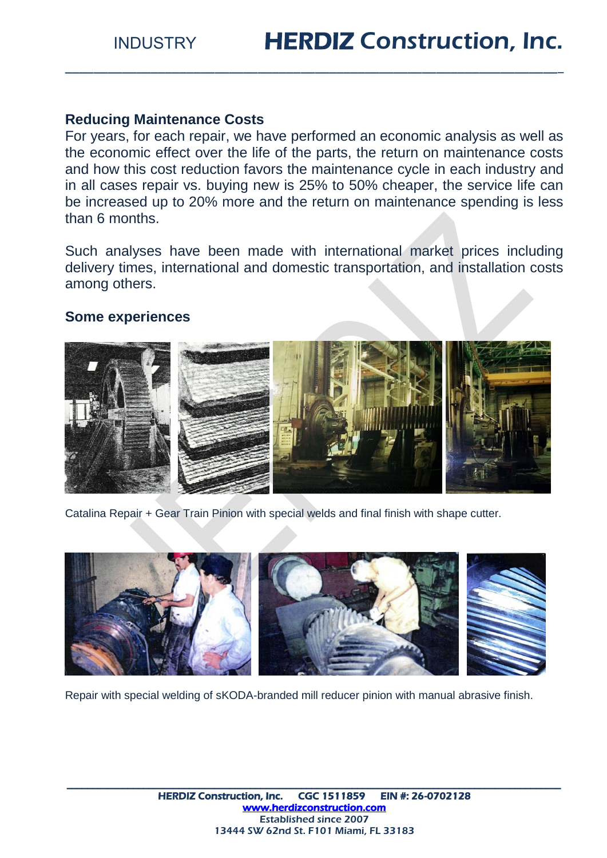### **Reducing Maintenance Costs**

For years, for each repair, we have performed an economic analysis as well as the economic effect over the life of the parts, the return on maintenance costs and how this cost reduction favors the maintenance cycle in each industry and in all cases repair vs. buying new is 25% to 50% cheaper, the service life can be increased up to 20% more and the return on maintenance spending is less than 6 months.

\_\_\_\_\_\_\_\_\_\_\_\_\_\_\_\_\_\_\_\_\_\_\_\_\_\_\_\_\_\_\_\_\_\_\_\_\_\_\_\_\_\_\_\_\_\_\_\_\_\_\_\_\_\_\_\_\_\_\_\_\_\_\_\_\_\_\_\_\_\_

Such analyses have been made with international market prices including delivery times, international and domestic transportation, and installation costs among others.

#### **Some experiences**



Catalina Repair + Gear Train Pinion with special welds and final finish with shape cutter.



Repair with special welding of sKODA-branded mill reducer pinion with manual abrasive finish.

\_\_\_\_\_\_\_\_\_\_\_\_\_\_\_\_\_\_\_\_\_\_\_\_\_\_\_\_\_\_\_\_\_\_\_\_\_\_\_\_\_\_\_\_\_\_\_\_\_\_\_\_\_\_\_\_\_\_\_\_\_\_\_\_\_\_\_\_\_\_\_\_\_\_\_\_\_\_\_\_\_\_\_\_\_\_\_\_\_\_\_\_\_\_\_\_\_